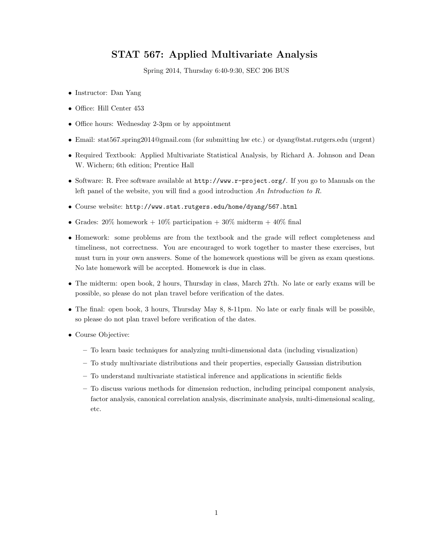## STAT 567: Applied Multivariate Analysis

Spring 2014, Thursday 6:40-9:30, SEC 206 BUS

- Instructor: Dan Yang
- Office: Hill Center 453
- Office hours: Wednesday 2-3pm or by appointment
- Email: stat567.spring2014@gmail.com (for submitting hw etc.) or dyang@stat.rutgers.edu (urgent)
- Required Textbook: Applied Multivariate Statistical Analysis, by Richard A. Johnson and Dean W. Wichern; 6th edition; Prentice Hall
- Software: R. Free software available at  $http://www.r-project.org/$ . If you go to Manuals on the left panel of the website, you will find a good introduction An Introduction to R.
- Course website: http://www.stat.rutgers.edu/home/dyang/567.html
- Grades:  $20\%$  homework +  $10\%$  participation +  $30\%$  midterm +  $40\%$  final
- Homework: some problems are from the textbook and the grade will reflect completeness and timeliness, not correctness. You are encouraged to work together to master these exercises, but must turn in your own answers. Some of the homework questions will be given as exam questions. No late homework will be accepted. Homework is due in class.
- The midterm: open book, 2 hours, Thursday in class, March 27th. No late or early exams will be possible, so please do not plan travel before verification of the dates.
- The final: open book, 3 hours, Thursday May 8, 8-11pm. No late or early finals will be possible, so please do not plan travel before verification of the dates.
- Course Objective:
	- To learn basic techniques for analyzing multi-dimensional data (including visualization)
	- To study multivariate distributions and their properties, especially Gaussian distribution
	- To understand multivariate statistical inference and applications in scientific fields
	- To discuss various methods for dimension reduction, including principal component analysis, factor analysis, canonical correlation analysis, discriminate analysis, multi-dimensional scaling, etc.